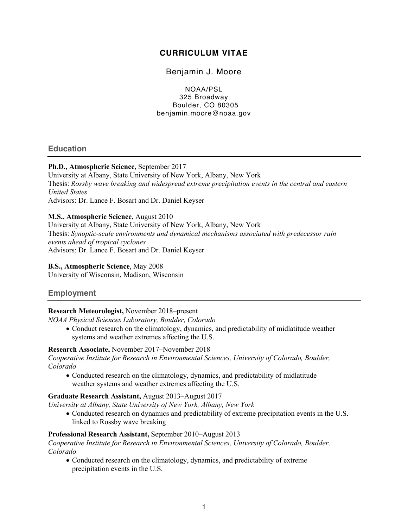# **CURRICULUM VITAE**

# Benjamin J. Moore

NOAA/PSL 325 Broadway Boulder, CO 80305 benjamin.moore@noaa.gov

# **Education**

# **Ph.D., Atmospheric Science,** September 2017

University at Albany, State University of New York, Albany, New York Thesis: *Rossby wave breaking and widespread extreme precipitation events in the central and eastern United States* Advisors: Dr. Lance F. Bosart and Dr. Daniel Keyser

## **M.S., Atmospheric Science**, August 2010

University at Albany, State University of New York, Albany, New York Thesis: *Synoptic-scale environments and dynamical mechanisms associated with predecessor rain events ahead of tropical cyclones* Advisors: Dr. Lance F. Bosart and Dr. Daniel Keyser

#### **B.S., Atmospheric Science**, May 2008

University of Wisconsin, Madison, Wisconsin

# **Employment**

# **Research Meteorologist,** November 2018–present

*NOAA Physical Sciences Laboratory, Boulder, Colorado*

• Conduct research on the climatology, dynamics, and predictability of midlatitude weather systems and weather extremes affecting the U.S.

#### **Research Associate,** November 2017–November 2018

*Cooperative Institute for Research in Environmental Sciences, University of Colorado, Boulder, Colorado*

• Conducted research on the climatology, dynamics, and predictability of midlatitude weather systems and weather extremes affecting the U.S.

# **Graduate Research Assistant,** August 2013–August 2017

*University at Albany, State University of New York, Albany, New York*

• Conducted research on dynamics and predictability of extreme precipitation events in the U.S. linked to Rossby wave breaking

#### **Professional Research Assistant,** September 2010–August 2013

*Cooperative Institute for Research in Environmental Sciences, University of Colorado, Boulder, Colorado*

• Conducted research on the climatology, dynamics, and predictability of extreme precipitation events in the U.S.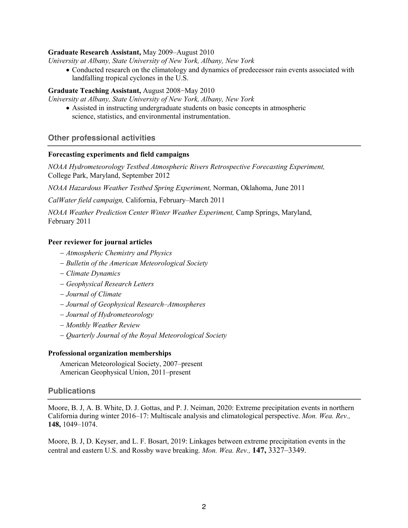## **Graduate Research Assistant,** May 2009–August 2010

*University at Albany, State University of New York, Albany, New York*

• Conducted research on the climatology and dynamics of predecessor rain events associated with landfalling tropical cyclones in the U.S.

#### **Graduate Teaching Assistant,** August 2008−May 2010

*University at Albany, State University of New York, Albany, New York*

• Assisted in instructing undergraduate students on basic concepts in atmospheric science, statistics, and environmental instrumentation.

## **Other professional activities**

#### **Forecasting experiments and field campaigns**

*NOAA Hydrometeorology Testbed Atmospheric Rivers Retrospective Forecasting Experiment,* College Park, Maryland, September 2012

*NOAA Hazardous Weather Testbed Spring Experiment,* Norman, Oklahoma, June 2011

*CalWater field campaign,* California, February–March 2011

*NOAA Weather Prediction Center Winter Weather Experiment,* Camp Springs, Maryland, February 2011

#### **Peer reviewer for journal articles**

- *Atmospheric Chemistry and Physics*
- *Bulletin of the American Meteorological Society*
- *Climate Dynamics*
- *Geophysical Research Letters*
- *Journal of Climate*
- *Journal of Geophysical Research*–*Atmospheres*
- *Journal of Hydrometeorology*
- *Monthly Weather Review*
- *Quarterly Journal of the Royal Meteorological Society*

#### **Professional organization memberships**

American Meteorological Society, 2007–present American Geophysical Union, 2011–present

#### **Publications**

Moore, B. J, A. B. White, D. J. Gottas, and P. J. Neiman, 2020: Extreme precipitation events in northern California during winter 2016–17: Multiscale analysis and climatological perspective. *Mon. Wea. Rev.,*  **148,** 1049–1074.

Moore, B. J, D. Keyser, and L. F. Bosart, 2019: Linkages between extreme precipitation events in the central and eastern U.S. and Rossby wave breaking. *Mon. Wea. Rev.,* **147,** 3327–3349.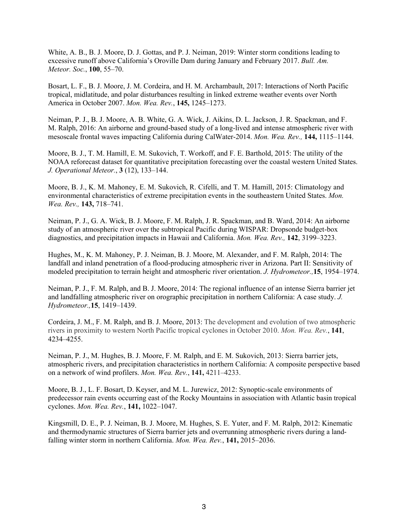White, A. B., B. J. Moore, D. J. Gottas, and P. J. Neiman, 2019: Winter storm conditions leading to excessive runoff above California's Oroville Dam during January and February 2017. *Bull. Am. Meteor. Soc.*, **100**, 55–70.

Bosart, L. F., B. J. Moore, J. M. Cordeira, and H. M. Archambault, 2017: Interactions of North Pacific tropical, midlatitude, and polar disturbances resulting in linked extreme weather events over North America in October 2007. *Mon. Wea. Rev.*, **145,** 1245–1273.

Neiman, P. J., B. J. Moore, A. B. White, G. A. Wick, J. Aikins, D. L. Jackson, J. R. Spackman, and F. M. Ralph, 2016: An airborne and ground-based study of a long-lived and intense atmospheric river with mesoscale frontal waves impacting California during CalWater-2014. *Mon. Wea. Rev.,* **144,** 1115–1144.

Moore, B. J., T. M. Hamill, E. M. Sukovich, T. Workoff, and F. E. Barthold, 2015: The utility of the NOAA reforecast dataset for quantitative precipitation forecasting over the coastal western United States. *J. Operational Meteor.*, **3** (12), 133–144.

Moore, B. J., K. M. Mahoney, E. M. Sukovich, R. Cifelli, and T. M. Hamill, 2015: Climatology and environmental characteristics of extreme precipitation events in the southeastern United States. *Mon. Wea. Rev.,* **143,** 718–741.

Neiman, P. J., G. A. Wick, B. J. Moore, F. M. Ralph, J. R. Spackman, and B. Ward, 2014: An airborne study of an atmospheric river over the subtropical Pacific during WISPAR: Dropsonde budget-box diagnostics, and precipitation impacts in Hawaii and California. *Mon. Wea. Rev.,* **142**, 3199–3223.

Hughes, M., K. M. Mahoney, P. J. Neiman, B. J. Moore, M. Alexander, and F. M. Ralph, 2014: The landfall and inland penetration of a flood-producing atmospheric river in Arizona. Part II: Sensitivity of modeled precipitation to terrain height and atmospheric river orientation. *J. Hydrometeor.,***15**, 1954–1974.

Neiman, P. J., F. M. Ralph, and B. J. Moore, 2014: The regional influence of an intense Sierra barrier jet and landfalling atmospheric river on orographic precipitation in northern California: A case study. *J. Hydrometeor.,***15**, 1419–1439.

Cordeira, J. M., F. M. Ralph, and B. J. Moore, 2013: The development and evolution of two atmospheric rivers in proximity to western North Pacific tropical cyclones in October 2010. *Mon. Wea. Rev.*, **141**, 4234–4255.

Neiman, P. J., M. Hughes, B. J. Moore, F. M. Ralph, and E. M. Sukovich, 2013: Sierra barrier jets, atmospheric rivers, and precipitation characteristics in northern California: A composite perspective based on a network of wind profilers. *Mon. Wea. Rev.*, **141,** 4211–4233.

Moore, B. J., L. F. Bosart, D. Keyser, and M. L. Jurewicz, 2012: Synoptic-scale environments of predecessor rain events occurring east of the Rocky Mountains in association with Atlantic basin tropical cyclones. *Mon. Wea. Rev.*, **141,** 1022–1047.

Kingsmill, D. E., P. J. Neiman, B. J. Moore, M. Hughes, S. E. Yuter, and F. M. Ralph, 2012: Kinematic and thermodynamic structures of Sierra barrier jets and overrunning atmospheric rivers during a landfalling winter storm in northern California. *Mon. Wea. Rev.*, **141,** 2015–2036.